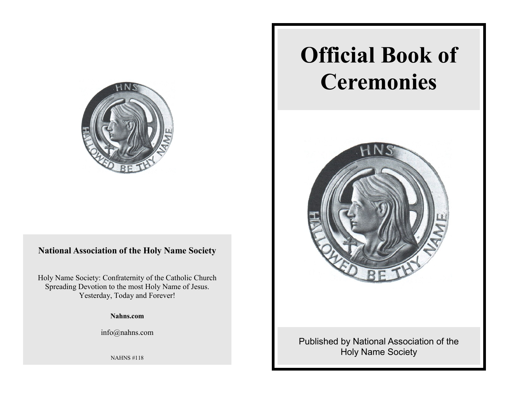

#### **National Association of the Holy Name Society**

Holy Name Society: Confraternity of the Catholic Church Spreading Devotion to the most Holy Name of Jesus. Yesterday, Today and Forever!

**Nahns.com**

info@nahns.com

NAHNS #118

# **Official Book of Ceremonies**

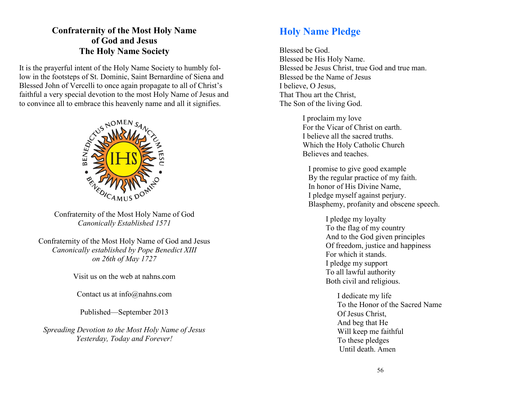### **Confraternity of the Most Holy Name of God and Jesus The Holy Name Society**

It is the prayerful intent of the Holy Name Society to humbly follow in the footsteps of St. Dominic, Saint Bernardine of Siena and Blessed John of Vercelli to once again propagate to all of Christ's faithful a very special devotion to the most Holy Name of Jesus and



Confraternity of the Most Holy Name of God *Canonically Established 1571*

Confraternity of the Most Holy Name of God and Jesus *Canonically established by Pope Benedict XIII on 26th of May 1727* 

Visit us on the web at nahns.com

Contact us at info@nahns.com

Published—September 2013

*Spreading Devotion to the Most Holy Name of Jesus Yesterday, Today and Forever!*

# **Holy Name Pledge**

Blessed be God. Blessed be His Holy Name. Blessed be Jesus Christ, true God and true man. Blessed be the Name of Jesus I believe, O Jesus, That Thou art the Christ, The Son of the living God.

> I proclaim my love For the Vicar of Christ on earth. I believe all the sacred truths. Which the Holy Catholic Church Believes and teaches.

I promise to give good example By the regular practice of my faith. In honor of His Divine Name, I pledge myself against perjury. Blasphemy, profanity and obscene speech.

> I pledge my loyalty To the flag of my country And to the God given principles Of freedom, justice and happiness For which it stands. I pledge my support To all lawful authority Both civil and religious.

> > I dedicate my life To the Honor of the Sacred Name Of Jesus Christ, And beg that He Will keep me faithful To these pledges Until death. Amen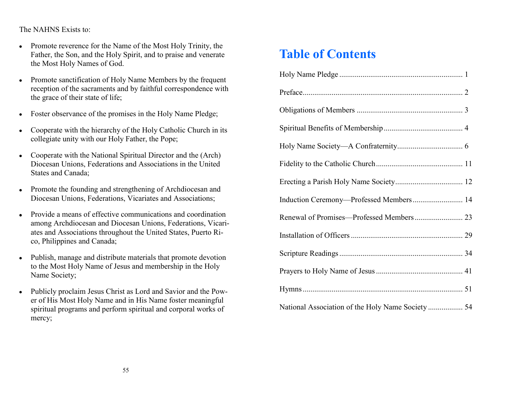The NAHNS Exists to:

- Promote reverence for the Name of the Most Holy Trinity, the  $\bullet$ Father, the Son, and the Holy Spirit, and to praise and venerate the Most Holy Names of God.
- Promote sanctification of Holy Name Members by the frequent  $\bullet$ reception of the sacraments and by faithful correspondence with the grace of their state of life;
- Foster observance of the promises in the Holy Name Pledge;  $\bullet$
- Cooperate with the hierarchy of the Holy Catholic Church in its  $\bullet$ collegiate unity with our Holy Father, the Pope;
- Cooperate with the National Spiritual Director and the (Arch) Diocesan Unions, Federations and Associations in the United States and Canada;
- Promote the founding and strengthening of Archdiocesan and  $\bullet$ Diocesan Unions, Federations, Vicariates and Associations;
- Provide a means of effective communications and coordination  $\bullet$ among Archdiocesan and Diocesan Unions, Federations, Vicariates and Associations throughout the United States, Puerto Rico, Philippines and Canada;
- Publish, manage and distribute materials that promote devotion  $\bullet$ to the Most Holy Name of Jesus and membership in the Holy Name Society;
- Publicly proclaim Jesus Christ as Lord and Savior and the Pow- $\bullet$ er of His Most Holy Name and in His Name foster meaningful spiritual programs and perform spiritual and corporal works of mercy;

# **Table of Contents**

| Induction Ceremony-Professed Members 14           |
|---------------------------------------------------|
|                                                   |
|                                                   |
|                                                   |
|                                                   |
|                                                   |
| National Association of the Holy Name Society  54 |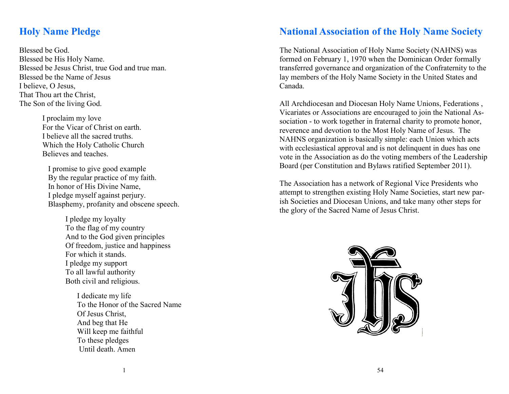### **Holy Name Pledge**

Blessed be God. Blessed be His Holy Name. Blessed be Jesus Christ, true God and true man. Blessed be the Name of Jesus I believe, O Jesus, That Thou art the Christ, The Son of the living God.

> I proclaim my love For the Vicar of Christ on earth. I believe all the sacred truths. Which the Holy Catholic Church Believes and teaches.

I promise to give good example By the regular practice of my faith. In honor of His Divine Name, I pledge myself against perjury. Blasphemy, profanity and obscene speech.

> I pledge my loyalty To the flag of my country And to the God given principles Of freedom, justice and happiness For which it stands. I pledge my support To all lawful authority Both civil and religious.

> > I dedicate my life To the Honor of the Sacred Name Of Jesus Christ, And beg that He Will keep me faithful To these pledges Until death. Amen

# **National Association of the Holy Name Society**

The National Association of Holy Name Society (NAHNS) was formed on February 1, 1970 when the Dominican Order formally transferred governance and organization of the Confraternity to the lay members of the Holy Name Society in the United States and Canada.

All Archdiocesan and Diocesan Holy Name Unions, Federations , Vicariates or Associations are encouraged to join the National Association - to work together in fraternal charity to promote honor, reverence and devotion to the Most Holy Name of Jesus. The NAHNS organization is basically simple: each Union which acts with ecclesiastical approval and is not delinquent in dues has one vote in the Association as do the voting members of the Leadership Board (per Constitution and Bylaws ratified September 2011).

The Association has a network of Regional Vice Presidents who attempt to strengthen existing Holy Name Societies, start new parish Societies and Diocesan Unions, and take many other steps for the glory of the Sacred Name of Jesus Christ.

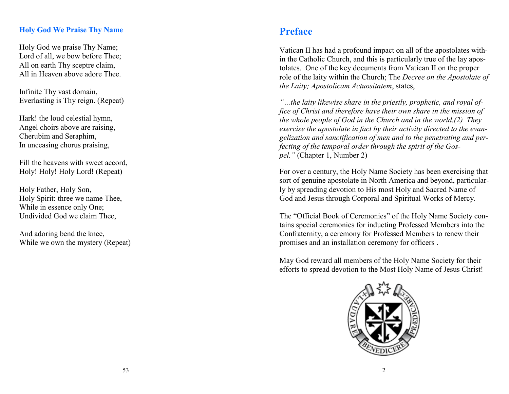#### **Holy God We Praise Thy Name**

Holy God we praise Thy Name; Lord of all, we bow before Thee; All on earth Thy sceptre claim, All in Heaven above adore Thee.

Infinite Thy vast domain, Everlasting is Thy reign. (Repeat)

Hark! the loud celestial hymn, Angel choirs above are raising, Cherubim and Seraphim, In unceasing chorus praising,

Fill the heavens with sweet accord, Holy! Holy! Holy Lord! (Repeat)

Holy Father, Holy Son, Holy Spirit: three we name Thee, While in essence only One; Undivided God we claim Thee,

And adoring bend the knee, While we own the mystery (Repeat)

# **Preface**

Vatican II has had a profound impact on all of the apostolates within the Catholic Church, and this is particularly true of the lay apostolates. One of the key documents from Vatican II on the proper role of the laity within the Church; The *Decree on the Apostolate of the Laity; Apostolicam Actuositatem*, states,

*"…the laity likewise share in the priestly, prophetic, and royal office of Christ and therefore have their own share in the mission of the whole people of God in the Church and in the world.(2) They exercise the apostolate in fact by their activity directed to the evangelization and sanctification of men and to the penetrating and perfecting of the temporal order through the spirit of the Gospel."* (Chapter 1, Number 2)

For over a century, the Holy Name Society has been exercising that sort of genuine apostolate in North America and beyond, particularly by spreading devotion to His most Holy and Sacred Name of God and Jesus through Corporal and Spiritual Works of Mercy.

The "Official Book of Ceremonies" of the Holy Name Society contains special ceremonies for inducting Professed Members into the Confraternity, a ceremony for Professed Members to renew their promises and an installation ceremony for officers .

May God reward all members of the Holy Name Society for their efforts to spread devotion to the Most Holy Name of Jesus Christ!

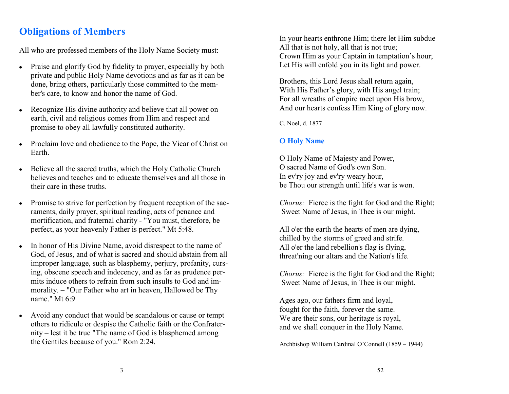# **Obligations of Members**

All who are professed members of the Holy Name Society must:

- Praise and glorify God by fidelity to prayer, especially by both private and public Holy Name devotions and as far as it can be done, bring others, particularly those committed to the member's care, to know and honor the name of God.
- Recognize His divine authority and believe that all power on  $\bullet$ earth, civil and religious comes from Him and respect and promise to obey all lawfully constituted authority.
- Proclaim love and obedience to the Pope, the Vicar of Christ on **Earth**
- Believe all the sacred truths, which the Holy Catholic Church believes and teaches and to educate themselves and all those in their care in these truths.
- Promise to strive for perfection by frequent reception of the sac- $\bullet$ raments, daily prayer, spiritual reading, acts of penance and mortification, and fraternal charity - "You must, therefore, be perfect, as your heavenly Father is perfect." Mt 5:48.
- In honor of His Divine Name, avoid disrespect to the name of  $\bullet$ God, of Jesus, and of what is sacred and should abstain from all improper language, such as blasphemy, perjury, profanity, cursing, obscene speech and indecency, and as far as prudence permits induce others to refrain from such insults to God and immorality. – "Our Father who art in heaven, Hallowed be Thy name." Mt 6:9
- Avoid any conduct that would be scandalous or cause or tempt  $\bullet$ others to ridicule or despise the Catholic faith or the Confraternity – lest it be true "The name of God is blasphemed among the Gentiles because of you." Rom 2:24.

In your hearts enthrone Him; there let Him subdue All that is not holy, all that is not true; Crown Him as your Captain in temptation's hour; Let His will enfold you in its light and power.

Brothers, this Lord Jesus shall return again, With His Father's glory, with His angel train; For all wreaths of empire meet upon His brow, And our hearts confess Him King of glory now.

C. Noel, d. 1877

#### **O Holy Name**

O Holy Name of Majesty and Power, O sacred Name of God's own Son. In ev'ry joy and ev'ry weary hour, be Thou our strength until life's war is won.

*Chorus:* Fierce is the fight for God and the Right; Sweet Name of Jesus, in Thee is our might.

All o'er the earth the hearts of men are dying, chilled by the storms of greed and strife. All o'er the land rebellion's flag is flying, threat'ning our altars and the Nation's life.

*Chorus:* Fierce is the fight for God and the Right; Sweet Name of Jesus, in Thee is our might.

Ages ago, our fathers firm and loyal, fought for the faith, forever the same. We are their sons, our heritage is royal, and we shall conquer in the Holy Name.

Archbishop William Cardinal O'Connell (1859 – 1944)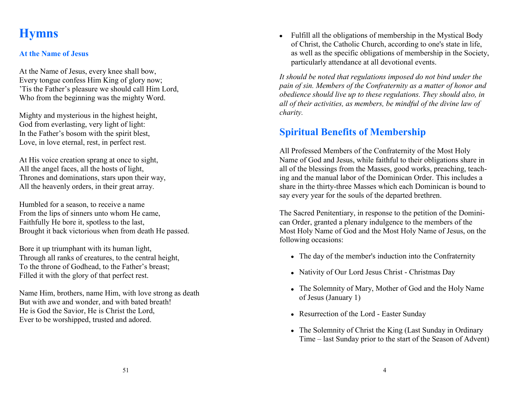# **Hymns**

#### **At the Name of Jesus**

At the Name of Jesus, every knee shall bow, Every tongue confess Him King of glory now; 'Tis the Father's pleasure we should call Him Lord, Who from the beginning was the mighty Word.

Mighty and mysterious in the highest height, God from everlasting, very light of light: In the Father's bosom with the spirit blest, Love, in love eternal, rest, in perfect rest.

At His voice creation sprang at once to sight, All the angel faces, all the hosts of light, Thrones and dominations, stars upon their way, All the heavenly orders, in their great array.

Humbled for a season, to receive a name From the lips of sinners unto whom He came, Faithfully He bore it, spotless to the last, Brought it back victorious when from death He passed.

Bore it up triumphant with its human light, Through all ranks of creatures, to the central height, To the throne of Godhead, to the Father's breast; Filled it with the glory of that perfect rest.

Name Him, brothers, name Him, with love strong as death But with awe and wonder, and with bated breath! He is God the Savior, He is Christ the Lord, Ever to be worshipped, trusted and adored.

• Fulfill all the obligations of membership in the Mystical Body of Christ, the Catholic Church, according to one's state in life, as well as the specific obligations of membership in the Society, particularly attendance at all devotional events.

*It should be noted that regulations imposed do not bind under the pain of sin. Members of the Confraternity as a matter of honor and obedience should live up to these regulations. They should also, in all of their activities, as members, be mindful of the divine law of charity.*

# **Spiritual Benefits of Membership**

All Professed Members of the Confraternity of the Most Holy Name of God and Jesus, while faithful to their obligations share in all of the blessings from the Masses, good works, preaching, teaching and the manual labor of the Dominican Order. This includes a share in the thirty-three Masses which each Dominican is bound to say every year for the souls of the departed brethren.

The Sacred Penitentiary, in response to the petition of the Dominican Order, granted a plenary indulgence to the members of the Most Holy Name of God and the Most Holy Name of Jesus, on the following occasions:

- The day of the member's induction into the Confraternity
- Nativity of Our Lord Jesus Christ Christmas Day
- The Solemnity of Mary, Mother of God and the Holy Name of Jesus (January 1)
- Resurrection of the Lord Easter Sunday
- The Solemnity of Christ the King (Last Sunday in Ordinary Time – last Sunday prior to the start of the Season of Advent)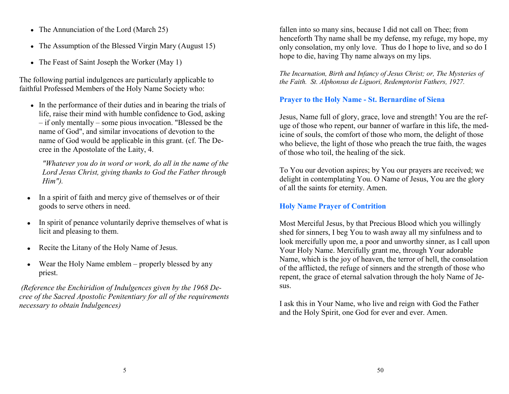- The Annunciation of the Lord (March 25)
- The Assumption of the Blessed Virgin Mary (August 15)
- The Feast of Saint Joseph the Worker (May 1)

The following partial indulgences are particularly applicable to faithful Professed Members of the Holy Name Society who:

• In the performance of their duties and in bearing the trials of life, raise their mind with humble confidence to God, asking – if only mentally – some pious invocation. "Blessed be the name of God", and similar invocations of devotion to the name of God would be applicable in this grant. (cf. The Decree in the Apostolate of the Laity, 4.

*"Whatever you do in word or work, do all in the name of the Lord Jesus Christ, giving thanks to God the Father through Him").*

- In a spirit of faith and mercy give of themselves or of their goods to serve others in need.
- In spirit of penance voluntarily deprive themselves of what is  $\bullet$ licit and pleasing to them.
- Recite the Litany of the Holy Name of Jesus.  $\bullet$
- Wear the Holy Name emblem properly blessed by any  $\bullet$ priest.

*(Reference the Enchiridion of Indulgences given by the 1968 Decree of the Sacred Apostolic Penitentiary for all of the requirements necessary to obtain Indulgences)*

fallen into so many sins, because I did not call on Thee; from henceforth Thy name shall be my defense, my refuge, my hope, my only consolation, my only love. Thus do I hope to live, and so do I hope to die, having Thy name always on my lips.

*The Incarnation, Birth and Infancy of Jesus Christ; or, The Mysteries of the Faith. St. Alphonsus de Liguori, Redemptorist Fathers, 1927.*

#### **Prayer to the Holy Name - St. Bernardine of Siena**

Jesus, Name full of glory, grace, love and strength! You are the refuge of those who repent, our banner of warfare in this life, the medicine of souls, the comfort of those who morn, the delight of those who believe, the light of those who preach the true faith, the wages of those who toil, the healing of the sick.

To You our devotion aspires; by You our prayers are received; we delight in contemplating You. O Name of Jesus, You are the glory of all the saints for eternity. Amen.

#### **Holy Name Prayer of Contrition**

Most Merciful Jesus, by that Precious Blood which you willingly shed for sinners, I beg You to wash away all my sinfulness and to look mercifully upon me, a poor and unworthy sinner, as I call upon Your Holy Name. Mercifully grant me, through Your adorable Name, which is the joy of heaven, the terror of hell, the consolation of the afflicted, the refuge of sinners and the strength of those who repent, the grace of eternal salvation through the holy Name of Jesus.

I ask this in Your Name, who live and reign with God the Father and the Holy Spirit, one God for ever and ever. Amen.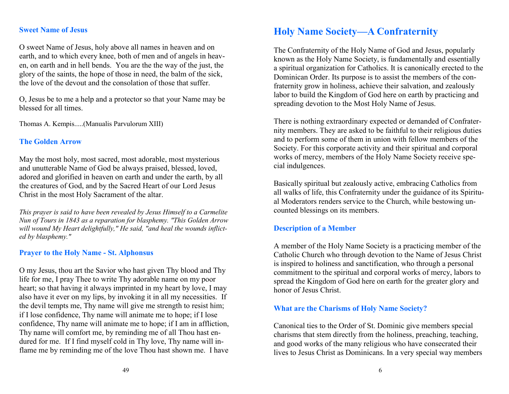#### **Sweet Name of Jesus**

O sweet Name of Jesus, holy above all names in heaven and on earth, and to which every knee, both of men and of angels in heaven, on earth and in hell bends. You are the the way of the just, the glory of the saints, the hope of those in need, the balm of the sick, the love of the devout and the consolation of those that suffer.

O, Jesus be to me a help and a protector so that your Name may be blessed for all times.

Thomas A. Kempis.....(Manualis Parvulorum XIII)

#### **The Golden Arrow**

May the most holy, most sacred, most adorable, most mysterious and unutterable Name of God be always praised, blessed, loved, adored and glorified in heaven on earth and under the earth, by all the creatures of God, and by the Sacred Heart of our Lord Jesus Christ in the most Holy Sacrament of the altar.

*This prayer is said to have been revealed by Jesus Himself to a Carmelite Nun of Tours in 1843 as a reparation for blasphemy. "This Golden Arrow will wound My Heart delightfully," He said, "and heal the wounds inflicted by blasphemy."*

#### **Prayer to the Holy Name - St. Alphonsus**

O my Jesus, thou art the Savior who hast given Thy blood and Thy life for me, I pray Thee to write Thy adorable name on my poor heart; so that having it always imprinted in my heart by love, I may also have it ever on my lips, by invoking it in all my necessities. If the devil tempts me, Thy name will give me strength to resist him; if I lose confidence, Thy name will animate me to hope; if I lose confidence, Thy name will animate me to hope; if I am in affliction, Thy name will comfort me, by reminding me of all Thou hast endured for me. If I find myself cold in Thy love, Thy name will inflame me by reminding me of the love Thou hast shown me. I have

# **Holy Name Society—A Confraternity**

The Confraternity of the Holy Name of God and Jesus, popularly known as the Holy Name Society, is fundamentally and essentially a spiritual organization for Catholics. It is canonically erected to the Dominican Order. Its purpose is to assist the members of the confraternity grow in holiness, achieve their salvation, and zealously labor to build the Kingdom of God here on earth by practicing and spreading devotion to the Most Holy Name of Jesus.

There is nothing extraordinary expected or demanded of Confraternity members. They are asked to be faithful to their religious duties and to perform some of them in union with fellow members of the Society. For this corporate activity and their spiritual and corporal works of mercy, members of the Holy Name Society receive special indulgences.

Basically spiritual but zealously active, embracing Catholics from all walks of life, this Confraternity under the guidance of its Spiritual Moderators renders service to the Church, while bestowing uncounted blessings on its members.

#### **Description of a Member**

A member of the Holy Name Society is a practicing member of the Catholic Church who through devotion to the Name of Jesus Christ is inspired to holiness and sanctification, who through a personal commitment to the spiritual and corporal works of mercy, labors to spread the Kingdom of God here on earth for the greater glory and honor of Jesus Christ.

#### **What are the Charisms of Holy Name Society?**

Canonical ties to the Order of St. Dominic give members special charisms that stem directly from the holiness, preaching, teaching, and good works of the many religious who have consecrated their lives to Jesus Christ as Dominicans. In a very special way members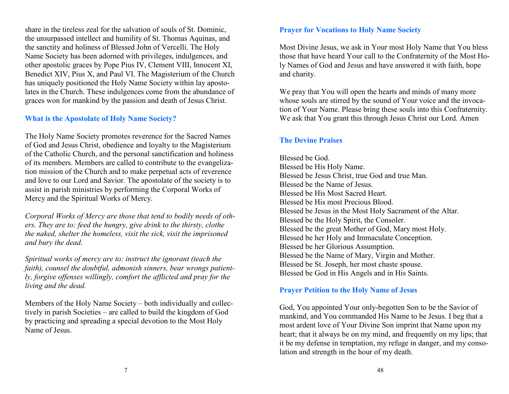share in the tireless zeal for the salvation of souls of St. Dominic, the unsurpassed intellect and humility of St. Thomas Aquinas, and the sanctity and holiness of Blessed John of Vercelli. The Holy Name Society has been adorned with privileges, indulgences, and other apostolic graces by Pope Pius IV, Clement VIII, Innocent XI, Benedict XIV, Pius X, and Paul VI. The Magisterium of the Church has uniquely positioned the Holy Name Society within lay apostolates in the Church. These indulgences come from the abundance of graces won for mankind by the passion and death of Jesus Christ.

#### **What is the Apostolate of Holy Name Society?**

The Holy Name Society promotes reverence for the Sacred Names of God and Jesus Christ, obedience and loyalty to the Magisterium of the Catholic Church, and the personal sanctification and holiness of its members. Members are called to contribute to the evangelization mission of the Church and to make perpetual acts of reverence and love to our Lord and Savior. The apostolate of the society is to assist in parish ministries by performing the Corporal Works of Mercy and the Spiritual Works of Mercy.

*Corporal Works of Mercy are those that tend to bodily needs of others. They are to: feed the hungry, give drink to the thirsty, clothe the naked, shelter the homeless, visit the sick, visit the imprisoned and bury the dead.*

*Spiritual works of mercy are to: instruct the ignorant (teach the faith), counsel the doubtful, admonish sinners, bear wrongs patiently, forgive offenses willingly, comfort the afflicted and pray for the living and the dead.*

Members of the Holy Name Society – both individually and collectively in parish Societies – are called to build the kingdom of God by practicing and spreading a special devotion to the Most Holy Name of Jesus.

#### **Prayer for Vocations to Holy Name Society**

Most Divine Jesus, we ask in Your most Holy Name that You bless those that have heard Your call to the Confraternity of the Most Holy Names of God and Jesus and have answered it with faith, hope and charity.

We pray that You will open the hearts and minds of many more whose souls are stirred by the sound of Your voice and the invocation of Your Name. Please bring these souls into this Confraternity. We ask that You grant this through Jesus Christ our Lord. Amen

#### **The Devine Praises**

Blessed be God. Blessed be His Holy Name. Blessed be Jesus Christ, true God and true Man. Blessed be the Name of Jesus. Blessed be His Most Sacred Heart. Blessed be His most Precious Blood. Blessed be Jesus in the Most Holy Sacrament of the Altar. Blessed be the Holy Spirit, the Consoler. Blessed be the great Mother of God, Mary most Holy. Blessed be her Holy and Immaculate Conception. Blessed be her Glorious Assumption. Blessed be the Name of Mary, Virgin and Mother. Blessed be St. Joseph, her most chaste spouse. Blessed be God in His Angels and in His Saints.

#### **Prayer Petition to the Holy Name of Jesus**

God, You appointed Your only-begotten Son to be the Savior of mankind, and You commanded His Name to be Jesus. I beg that a most ardent love of Your Divine Son imprint that Name upon my heart; that it always be on my mind, and frequently on my lips; that it be my defense in temptation, my refuge in danger, and my consolation and strength in the hour of my death.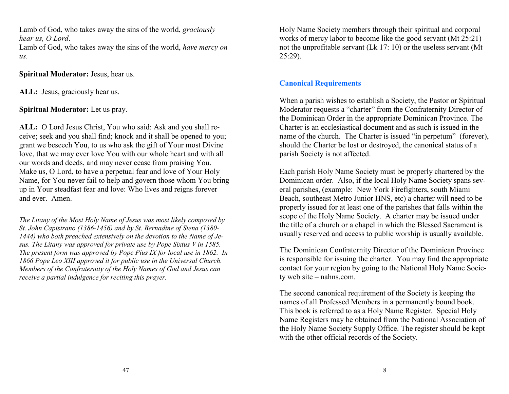Lamb of God, who takes away the sins of the world, *graciously hear us, O Lord*.

Lamb of God, who takes away the sins of the world, *have mercy on us.*

**Spiritual Moderator:** Jesus, hear us.

**ALL:** Jesus, graciously hear us.

**Spiritual Moderator:** Let us pray.

**ALL:** O Lord Jesus Christ, You who said: Ask and you shall receive; seek and you shall find; knock and it shall be opened to you; grant we beseech You, to us who ask the gift of Your most Divine love, that we may ever love You with our whole heart and with all our words and deeds, and may never cease from praising You. Make us, O Lord, to have a perpetual fear and love of Your Holy Name, for You never fail to help and govern those whom You bring up in Your steadfast fear and love: Who lives and reigns forever and ever. Amen.

*The Litany of the Most Holy Name of Jesus was most likely composed by St. John Capistrano (1386-1456) and by St. Bernadine of Siena (1380- 1444) who both preached extensively on the devotion to the Name of Jesus. The Litany was approved for private use by Pope Sixtus V in 1585. The present form was approved by Pope Pius IX for local use in 1862. In 1866 Pope Leo XIII approved it for public use in the Universal Church. Members of the Confraternity of the Holy Names of God and Jesus can receive a partial indulgence for reciting this prayer.* 

Holy Name Society members through their spiritual and corporal works of mercy labor to become like the good servant (Mt 25:21) not the unprofitable servant (Lk 17: 10) or the useless servant (Mt 25:29).

#### **Canonical Requirements**

When a parish wishes to establish a Society, the Pastor or Spiritual Moderator requests a "charter" from the Confraternity Director of the Dominican Order in the appropriate Dominican Province. The Charter is an ecclesiastical document and as such is issued in the name of the church. The Charter is issued "in perpetum" (forever), should the Charter be lost or destroyed, the canonical status of a parish Society is not affected.

Each parish Holy Name Society must be properly chartered by the Dominican order. Also, if the local Holy Name Society spans several parishes, (example: New York Firefighters, south Miami Beach, southeast Metro Junior HNS, etc) a charter will need to be properly issued for at least one of the parishes that falls within the scope of the Holy Name Society. A charter may be issued under the title of a church or a chapel in which the Blessed Sacrament is usually reserved and access to public worship is usually available.

The Dominican Confraternity Director of the Dominican Province is responsible for issuing the charter. You may find the appropriate contact for your region by going to the National Holy Name Society web site – nahns.com.

The second canonical requirement of the Society is keeping the names of all Professed Members in a permanently bound book. This book is referred to as a Holy Name Register. Special Holy Name Registers may be obtained from the National Association of the Holy Name Society Supply Office. The register should be kept with the other official records of the Society.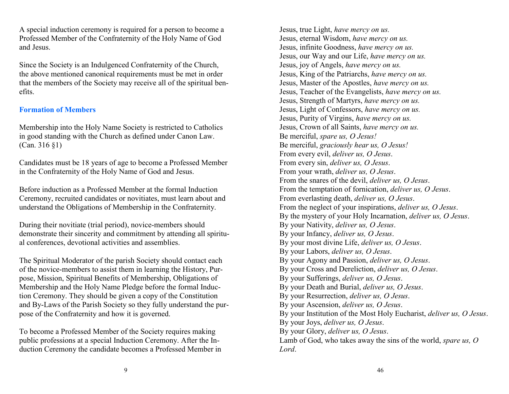A special induction ceremony is required for a person to become a Professed Member of the Confraternity of the Holy Name of God and Jesus.

Since the Society is an Indulgenced Confraternity of the Church, the above mentioned canonical requirements must be met in order that the members of the Society may receive all of the spiritual benefits.

#### **Formation of Members**

Membership into the Holy Name Society is restricted to Catholics in good standing with the Church as defined under Canon Law. (Can. 316 §1)

Candidates must be 18 years of age to become a Professed Member in the Confraternity of the Holy Name of God and Jesus.

Before induction as a Professed Member at the formal Induction Ceremony, recruited candidates or novitiates, must learn about and understand the Obligations of Membership in the Confraternity.

During their novitiate (trial period), novice-members should demonstrate their sincerity and commitment by attending all spiritual conferences, devotional activities and assemblies.

The Spiritual Moderator of the parish Society should contact each of the novice-members to assist them in learning the History, Purpose, Mission, Spiritual Benefits of Membership, Obligations of Membership and the Holy Name Pledge before the formal Induction Ceremony. They should be given a copy of the Constitution and By-Laws of the Parish Society so they fully understand the purpose of the Confraternity and how it is governed.

To become a Professed Member of the Society requires making public professions at a special Induction Ceremony. After the Induction Ceremony the candidate becomes a Professed Member in

Jesus, true Light, *have mercy on us.* Jesus, eternal Wisdom, *have mercy on us.* Jesus, infinite Goodness, *have mercy on us.* Jesus, our Way and our Life, *have mercy on us.* Jesus, joy of Angels, *have mercy on us.* Jesus, King of the Patriarchs, *have mercy on us.* Jesus, Master of the Apostles, *have mercy on us.* Jesus, Teacher of the Evangelists, *have mercy on us.* Jesus, Strength of Martyrs, *have mercy on us.* Jesus, Light of Confessors, *have mercy on us.* Jesus, Purity of Virgins, *have mercy on us.* Jesus, Crown of all Saints, *have mercy on us.* Be merciful, *spare us, O Jesus!* Be merciful, *graciously hear us, O Jesus!* From every evil, *deliver us, O Jesus*. From every sin, *deliver us, O Jesus*. From your wrath, *deliver us, O Jesus*. From the snares of the devil, *deliver us, O Jesus*. From the temptation of fornication, *deliver us, O Jesus*. From everlasting death, *deliver us, O Jesus*. From the neglect of your inspirations, *deliver us, O Jesus*. By the mystery of your Holy Incarnation, *deliver us, O Jesus*. By your Nativity, *deliver us, O Jesus*. By your Infancy, *deliver us, O Jesus*. By your most divine Life, *deliver us, O Jesus*. By your Labors, *deliver us, O Jesus*. By your Agony and Passion, *deliver us, O Jesus*. By your Cross and Dereliction, *deliver us, O Jesus*. By your Sufferings, *deliver us, O Jesus*. By your Death and Burial, *deliver us, O Jesus*. By your Resurrection, *deliver us, O Jesus*. By your Ascension, *deliver us, O Jesus*. By your Institution of the Most Holy Eucharist, *deliver us, O Jesus*. By your Joys, *deliver us, O Jesus*. By your Glory, *deliver us, O Jesus*. Lamb of God, who takes away the sins of the world, *spare us, O Lord*.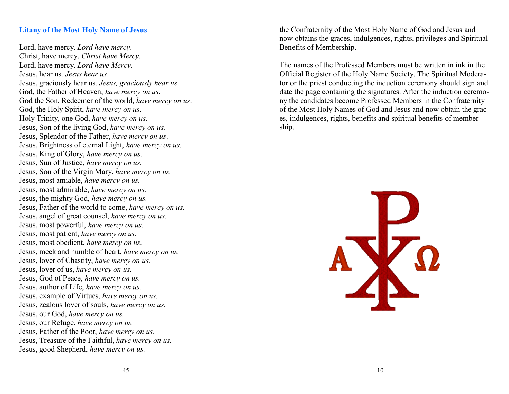#### **Litany of the Most Holy Name of Jesus**

Lord, have mercy. *Lord have mercy*. Christ, have mercy. *Christ have Mercy*. Lord, have mercy. *Lord have Mercy*. Jesus, hear us. *Jesus hear us*. Jesus, graciously hear us. *Jesus, graciously hear us*. God, the Father of Heaven, *have mercy on us*. God the Son, Redeemer of the world, *have mercy on us*. God, the Holy Spirit, *have mercy on us*. Holy Trinity, one God, *have mercy on us*. Jesus, Son of the living God, *have mercy on us*. Jesus, Splendor of the Father, *have mercy on us*. Jesus, Brightness of eternal Light, *have mercy on us.* Jesus, King of Glory, *have mercy on us.* Jesus, Sun of Justice, *have mercy on us.* Jesus, Son of the Virgin Mary, *have mercy on us.* Jesus, most amiable, *have mercy on us.* Jesus, most admirable, *have mercy on us.* Jesus, the mighty God, *have mercy on us.* Jesus, Father of the world to come, *have mercy on us.* Jesus, angel of great counsel, *have mercy on us.* Jesus, most powerful, *have mercy on us.* Jesus, most patient, *have mercy on us.* Jesus, most obedient, *have mercy on us.* Jesus, meek and humble of heart, *have mercy on us.* Jesus, lover of Chastity, *have mercy on us.* Jesus, lover of us, *have mercy on us.* Jesus, God of Peace, *have mercy on us.* Jesus, author of Life, *have mercy on us.* Jesus, example of Virtues, *have mercy on us.* Jesus, zealous lover of souls, *have mercy on us.* Jesus, our God, *have mercy on us.* Jesus, our Refuge, *have mercy on us.* Jesus, Father of the Poor, *have mercy on us.* Jesus, Treasure of the Faithful, *have mercy on us.* Jesus, good Shepherd, *have mercy on us.*

the Confraternity of the Most Holy Name of God and Jesus and now obtains the graces, indulgences, rights, privileges and Spiritual Benefits of Membership.

The names of the Professed Members must be written in ink in the Official Register of the Holy Name Society. The Spiritual Moderator or the priest conducting the induction ceremony should sign and date the page containing the signatures. After the induction ceremony the candidates become Professed Members in the Confraternity of the Most Holy Names of God and Jesus and now obtain the graces, indulgences, rights, benefits and spiritual benefits of membership.

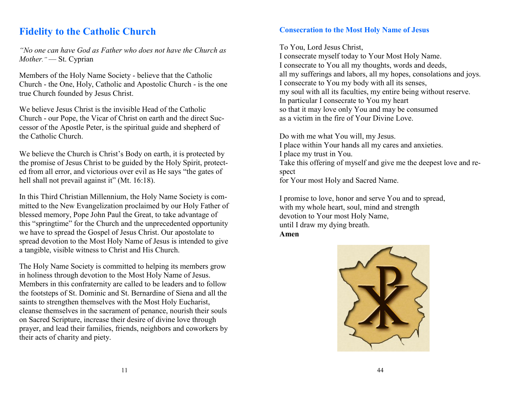# **Fidelity to the Catholic Church**

*"No one can have God as Father who does not have the Church as Mother."* — St. Cyprian

Members of the Holy Name Society - believe that the Catholic Church - the One, Holy, Catholic and Apostolic Church - is the one true Church founded by Jesus Christ.

We believe Jesus Christ is the invisible Head of the Catholic Church - our Pope, the Vicar of Christ on earth and the direct Successor of the Apostle Peter, is the spiritual guide and shepherd of the Catholic Church.

We believe the Church is Christ's Body on earth, it is protected by the promise of Jesus Christ to be guided by the Holy Spirit, protected from all error, and victorious over evil as He says "the gates of hell shall not prevail against it" (Mt. 16:18).

In this Third Christian Millennium, the Holy Name Society is committed to the New Evangelization proclaimed by our Holy Father of blessed memory, Pope John Paul the Great, to take advantage of this "springtime" for the Church and the unprecedented opportunity we have to spread the Gospel of Jesus Christ. Our apostolate to spread devotion to the Most Holy Name of Jesus is intended to give a tangible, visible witness to Christ and His Church.

The Holy Name Society is committed to helping its members grow in holiness through devotion to the Most Holy Name of Jesus. Members in this confraternity are called to be leaders and to follow the footsteps of St. Dominic and St. Bernardine of Siena and all the saints to strengthen themselves with the Most Holy Eucharist, cleanse themselves in the sacrament of penance, nourish their souls on Sacred Scripture, increase their desire of divine love through prayer, and lead their families, friends, neighbors and coworkers by their acts of charity and piety.

#### **Consecration to the Most Holy Name of Jesus**

To You, Lord Jesus Christ,

I consecrate myself today to Your Most Holy Name. I consecrate to You all my thoughts, words and deeds, all my sufferings and labors, all my hopes, consolations and joys. I consecrate to You my body with all its senses, my soul with all its faculties, my entire being without reserve. In particular I consecrate to You my heart so that it may love only You and may be consumed as a victim in the fire of Your Divine Love.

Do with me what You will, my Jesus. I place within Your hands all my cares and anxieties. I place my trust in You. Take this offering of myself and give me the deepest love and respect for Your most Holy and Sacred Name.

I promise to love, honor and serve You and to spread, with my whole heart, soul, mind and strength devotion to Your most Holy Name, until I draw my dying breath. **Amen**

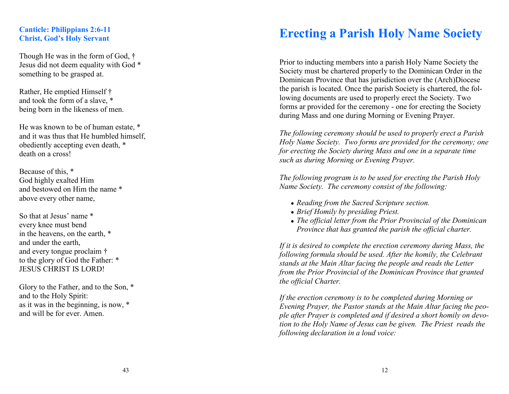#### **Canticle: Philippians 2:6 -11 Christ, God's Holy Servant**

Though He was in the form of God, † Jesus did not deem equality with God \* something to be grasped at.

Rather, He emptied Himself † and took the form of a slave, \* being born in the likeness of men.

He was known to be of human estate, \* and it was thus that He humbled himself, obediently accepting even death, \* death on a cross!

Because of this, \* God highly exalted Him and bestowed on Him the name \* above every other name,

So that at Jesus' name \* every knee must bend in the heavens, on the earth, \* and under the earth, and every tongue proclaim † to the glory of God the Father: \* JESUS CHRIST IS LORD!

Glory to the Father, and to the Son, \* and to the Holy Spirit: as it was in the beginning, is now, \* and will be for ever. Amen.

# **Erecting a Parish Holy Name Society**

Prior to inducting members into a parish Holy Name Society the Society must be chartered properly to the Dominican Order in the Dominican Province that has jurisdiction over the (Arch)Diocese the parish is located. Once the parish Society is chartered, the following documents are used to properly erect the Society. Two forms ar provided for the ceremony - one for erecting the Society during Mass and one during Morning or Evening Prayer.

*The following ceremony should be used to properly erect a Parish Holy Name Society. Two forms are provided for the ceremony; one for erecting the Society during Mass and one in a separate time such as during Morning or Evening Prayer.* 

*The following program is to be used for erecting the Parish Holy Name Society. The ceremony consist of the following:* 

- *Reading from the Sacred Scripture section.*
- *Brief Homily by presiding Priest.*
- *The official letter from the Prior Provincial of the Dominican Province that has granted the parish the official charter.*

*If it is desired to complete the erection ceremony during Mass, the following formula should be used. After the homily, the Celebrant stands at the Main Altar facing the people and reads the Letter from the Prior Provincial of the Dominican Province that granted the official Charter.* 

*If the erection ceremony is to be completed during Morning or Evening Prayer, the Pastor stands at the Main Altar facing the people after Prayer is completed and if desired a short homily on devotion to the Holy Name of Jesus can be given. The Priest reads the following declaration in a loud voice:*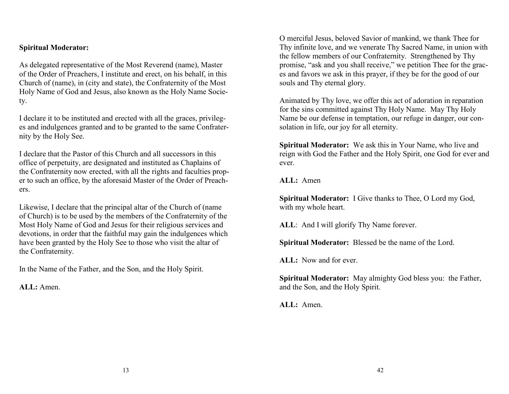#### **Spiritual Moderator:**

As delegated representative of the Most Reverend (name), Master of the Order of Preachers, I institute and erect, on his behalf, in this Church of (name), in (city and state), the Confraternity of the Most Holy Name of God and Jesus, also known as the Holy Name Society.

I declare it to be instituted and erected with all the graces, privileges and indulgences granted and to be granted to the same Confraternity by the Holy See.

I declare that the Pastor of this Church and all successors in this office of perpetuity, are designated and instituted as Chaplains of the Confraternity now erected, with all the rights and faculties proper to such an office, by the aforesaid Master of the Order of Preachers.

Likewise, I declare that the principal altar of the Church of (name of Church) is to be used by the members of the Confraternity of the Most Holy Name of God and Jesus for their religious services and devotions, in order that the faithful may gain the indulgences which have been granted by the Holy See to those who visit the altar of the Confraternity.

In the Name of the Father, and the Son, and the Holy Spirit.

**ALL:** Amen.

O merciful Jesus, beloved Savior of mankind, we thank Thee for Thy infinite love, and we venerate Thy Sacred Name, in union with the fellow members of our Confraternity. Strengthened by Thy promise, "ask and you shall receive," we petition Thee for the graces and favors we ask in this prayer, if they be for the good of our souls and Thy eternal glory.

Animated by Thy love, we offer this act of adoration in reparation for the sins committed against Thy Holy Name. May Thy Holy Name be our defense in temptation, our refuge in danger, our consolation in life, our joy for all eternity.

**Spiritual Moderator:** We ask this in Your Name, who live and reign with God the Father and the Holy Spirit, one God for ever and ever.

**ALL:** Amen

**Spiritual Moderator:** I Give thanks to Thee, O Lord my God, with my whole heart.

**ALL**: And I will glorify Thy Name forever.

**Spiritual Moderator:** Blessed be the name of the Lord.

**ALL:** Now and for ever.

**Spiritual Moderator:** May almighty God bless you: the Father, and the Son, and the Holy Spirit.

**ALL:** Amen.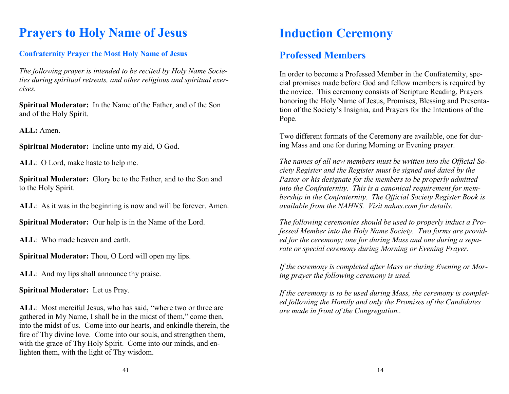# **Prayers to Holy Name of Jesus**

#### **Confraternity Prayer the Most Holy Name of Jesus**

*The following prayer is intended to be recited by Holy Name Societies during spiritual retreats, and other religious and spiritual exercises.*

**Spiritual Moderator:** In the Name of the Father, and of the Son and of the Holy Spirit.

**ALL:** Amen.

**Spiritual Moderator:** Incline unto my aid, O God.

**ALL**: O Lord, make haste to help me.

**Spiritual Moderator:** Glory be to the Father, and to the Son and to the Holy Spirit.

**ALL**: As it was in the beginning is now and will be forever. Amen.

**Spiritual Moderator:** Our help is in the Name of the Lord.

**ALL**: Who made heaven and earth.

**Spiritual Moderator:** Thou, O Lord will open my lips.

**ALL**: And my lips shall announce thy praise.

**Spiritual Moderator:** Let us Pray.

**ALL**: Most merciful Jesus, who has said, "where two or three are gathered in My Name, I shall be in the midst of them," come then, into the midst of us. Come into our hearts, and enkindle therein, the fire of Thy divine love. Come into our souls, and strengthen them, with the grace of Thy Holy Spirit. Come into our minds, and enlighten them, with the light of Thy wisdom.

# **Induction Ceremony**

# **Professed Members**

In order to become a Professed Member in the Confraternity, special promises made before God and fellow members is required by the novice. This ceremony consists of Scripture Reading, Prayers honoring the Holy Name of Jesus, Promises, Blessing and Presentation of the Society's Insignia, and Prayers for the Intentions of the Pope.

Two different formats of the Ceremony are available, one for during Mass and one for during Morning or Evening prayer.

*The names of all new members must be written into the Official Society Register and the Register must be signed and dated by the Pastor or his designate for the members to be properly admitted into the Confraternity. This is a canonical requirement for membership in the Confraternity. The Official Society Register Book is available from the NAHNS. Visit nahns.com for details.*

*The following ceremonies should be used to properly induct a Professed Member into the Holy Name Society. Two forms are provided for the ceremony; one for during Mass and one during a separate or special ceremony during Morning or Evening Prayer.* 

*If the ceremony is completed after Mass or during Evening or Moring prayer the following ceremony is used.*

*If the ceremony is to be used during Mass, the ceremony is completed following the Homily and only the Promises of the Candidates are made in front of the Congregation..*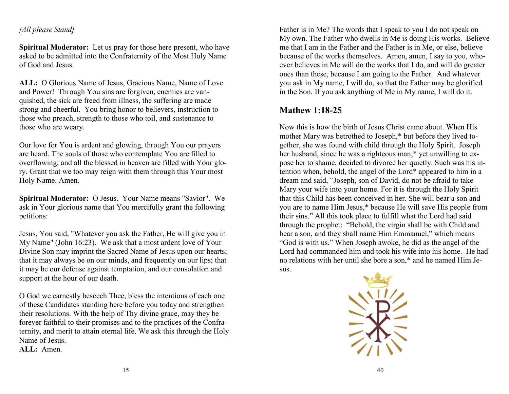#### *[All please Stand]*

**Spiritual Moderator:** Let us pray for those here present, who have asked to be admitted into the Confraternity of the Most Holy Name of God and Jesus.

**ALL:** O Glorious Name of Jesus, Gracious Name, Name of Love and Power! Through You sins are forgiven, enemies are vanquished, the sick are freed from illness, the suffering are made strong and cheerful. You bring honor to believers, instruction to those who preach, strength to those who toil, and sustenance to those who are weary.

Our love for You is ardent and glowing, through You our prayers are heard. The souls of those who contemplate You are filled to overflowing; and all the blessed in heaven are filled with Your glory. Grant that we too may reign with them through this Your most Holy Name. Amen.

**Spiritual Moderator:** O Jesus. Your Name means "Savior". We ask in Your glorious name that You mercifully grant the following petitions:

Jesus, You said, "Whatever you ask the Father, He will give you in My Name" (John 16:23). We ask that a most ardent love of Your Divine Son may imprint the Sacred Name of Jesus upon our hearts; that it may always be on our minds, and frequently on our lips; that it may be our defense against temptation, and our consolation and support at the hour of our death.

O God we earnestly beseech Thee, bless the intentions of each one of these Candidates standing here before you today and strengthen their resolutions. With the help of Thy divine grace, may they be forever faithful to their promises and to the practices of the Confraternity, and merit to attain eternal life. We ask this through the Holy Name of Jesus. **ALL:** Amen.

Father is in Me? The words that I speak to you I do not speak on My own. The Father who dwells in Me is doing His works. Believe me that I am in the Father and the Father is in Me, or else, believe because of the works themselves. Amen, amen, I say to you, whoever believes in Me will do the works that I do, and will do greater ones than these, because I am going to the Father. And whatever you ask in My name, I will do, so that the Father may be glorified in the Son. If you ask anything of Me in My name, I will do it.

#### **Mathew 1:18-25**

Now this is how the birth of Jesus Christ came about. When His mother Mary was betrothed to Joseph,\* but before they lived together, she was found with child through the Holy Spirit. Joseph her husband, since he was a righteous man,\* yet unwilling to expose her to shame, decided to divorce her quietly. Such was his intention when, behold, the angel of the Lord\* appeared to him in a dream and said, "Joseph, son of David, do not be afraid to take Mary your wife into your home. For it is through the Holy Spirit that this Child has been conceived in her. She will bear a son and you are to name Him Jesus,\* because He will save His people from their sins." All this took place to fulfill what the Lord had said through the prophet: "Behold, the virgin shall be with Child and bear a son, and they shall name Him Emmanuel," which means "God is with us." When Joseph awoke, he did as the angel of the Lord had commanded him and took his wife into his home. He had no relations with her until she bore a son,\* and he named Him Jesus.

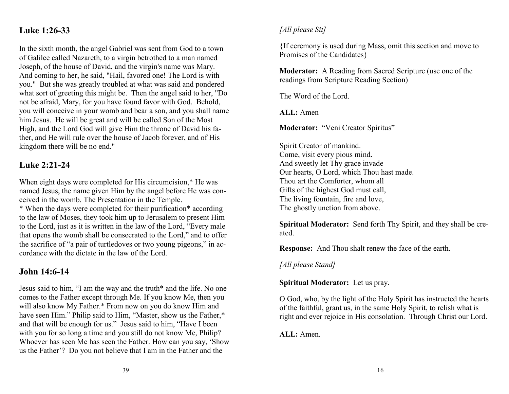### **Luke 1:26-33**

In the sixth month, the angel Gabriel was sent from God to a town of Galilee called Nazareth, to a virgin betrothed to a man named Joseph, of the house of David, and the virgin's name was Mary. And coming to her, he said, "Hail, favored one! The Lord is with you." But she was greatly troubled at what was said and pondered what sort of greeting this might be. Then the angel said to her, "Do not be afraid, Mary, for you have found favor with God. Behold, you will conceive in your womb and bear a son, and you shall name him Jesus. He will be great and will be called Son of the Most High, and the Lord God will give Him the throne of David his father, and He will rule over the house of Jacob forever, and of His kingdom there will be no end."

#### **Luke 2:21-24**

When eight days were completed for His circumcision,\* He was named Jesus, the name given Him by the angel before He was conceived in the womb. The Presentation in the Temple.

\* When the days were completed for their purification\* according to the law of Moses, they took him up to Jerusalem to present Him to the Lord, just as it is written in the law of the Lord, "Every male that opens the womb shall be consecrated to the Lord," and to offer the sacrifice of "a pair of turtledoves or two young pigeons," in accordance with the dictate in the law of the Lord.

# **John 14:6-14**

Jesus said to him, "I am the way and the truth\* and the life. No one comes to the Father except through Me. If you know Me, then you will also know My Father.\* From now on you do know Him and have seen Him." Philip said to Him, "Master, show us the Father,\* and that will be enough for us." Jesus said to him, "Have I been with you for so long a time and you still do not know Me, Philip? Whoever has seen Me has seen the Father. How can you say, 'Show us the Father'? Do you not believe that I am in the Father and the

#### *[All please Sit]*

{If ceremony is used during Mass, omit this section and move to Promises of the Candidates}

**Moderator:** A Reading from Sacred Scripture (use one of the readings from Scripture Reading Section)

The Word of the Lord.

**ALL:** Amen

**Moderator:** "Veni Creator Spiritus"

Spirit Creator of mankind. Come, visit every pious mind. And sweetly let Thy grace invade Our hearts, O Lord, which Thou hast made. Thou art the Comforter, whom all Gifts of the highest God must call, The living fountain, fire and love, The ghostly unction from above.

**Spiritual Moderator:** Send forth Thy Spirit, and they shall be created.

**Response:** And Thou shalt renew the face of the earth.

*[All please Stand]*

**Spiritual Moderator:** Let us pray.

O God, who, by the light of the Holy Spirit has instructed the hearts of the faithful, grant us, in the same Holy Spirit, to relish what is right and ever rejoice in His consolation. Through Christ our Lord.

**ALL:** Amen.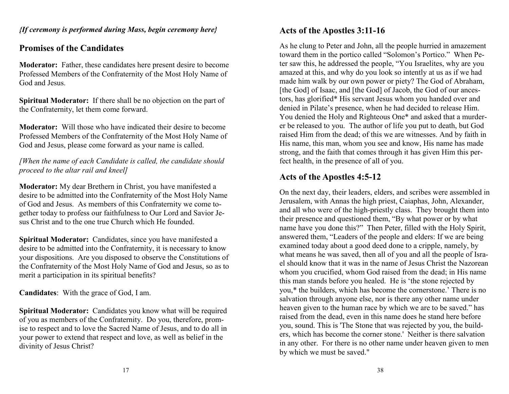*{If ceremony is performed during Mass, begin ceremony here}*

### **Promises of the Candidates**

**Moderator:** Father, these candidates here present desire to become Professed Members of the Confraternity of the Most Holy Name of God and Jesus.

**Spiritual Moderator:** If there shall be no objection on the part of the Confraternity, let them come forward.

**Moderator:** Will those who have indicated their desire to become Professed Members of the Confraternity of the Most Holy Name of God and Jesus, please come forward as your name is called.

#### *[When the name of each Candidate is called, the candidate should proceed to the altar rail and kneel]*

**Moderator:** My dear Brethern in Christ, you have manifested a desire to be admitted into the Confraternity of the Most Holy Name of God and Jesus. As members of this Confraternity we come together today to profess our faithfulness to Our Lord and Savior Jesus Christ and to the one true Church which He founded.

**Spiritual Moderator:** Candidates, since you have manifested a desire to be admitted into the Confraternity, it is necessary to know your dispositions. Are you disposed to observe the Constitutions of the Confraternity of the Most Holy Name of God and Jesus, so as to merit a participation in its spiritual benefits?

**Candidates**: With the grace of God, I am.

**Spiritual Moderator:** Candidates you know what will be required of you as members of the Confraternity. Do you, therefore, promise to respect and to love the Sacred Name of Jesus, and to do all in your power to extend that respect and love, as well as belief in the divinity of Jesus Christ?

# **Acts of the Apostles 3:11-16**

As he clung to Peter and John, all the people hurried in amazement toward them in the portico called "Solomon's Portico." When Peter saw this, he addressed the people, "You Israelites, why are you amazed at this, and why do you look so intently at us as if we had made him walk by our own power or piety? The God of Abraham, [the God] of Isaac, and [the God] of Jacob, the God of our ancestors, has glorified\* His servant Jesus whom you handed over and denied in Pilate's presence, when he had decided to release Him. You denied the Holy and Righteous One\* and asked that a murderer be released to you. The author of life you put to death, but God raised Him from the dead; of this we are witnesses. And by faith in His name, this man, whom you see and know, His name has made strong, and the faith that comes through it has given Him this perfect health, in the presence of all of you.

### **Acts of the Apostles 4:5-12**

On the next day, their leaders, elders, and scribes were assembled in Jerusalem, with Annas the high priest, Caiaphas, John, Alexander, and all who were of the high-priestly class. They brought them into their presence and questioned them, "By what power or by what name have you done this?" Then Peter, filled with the Holy Spirit, answered them, "Leaders of the people and elders: If we are being examined today about a good deed done to a cripple, namely, by what means he was saved, then all of you and all the people of Israel should know that it was in the name of Jesus Christ the Nazorean whom you crucified, whom God raised from the dead; in His name this man stands before you healed. He is 'the stone rejected by you,\* the builders, which has become the cornerstone.' There is no salvation through anyone else, nor is there any other name under heaven given to the human race by which we are to be saved." has raised from the dead, even in this name does he stand here before you, sound. This is 'The Stone that was rejected by you, the builders, which has become the corner stone.' Neither is there salvation in any other. For there is no other name under heaven given to men by which we must be saved."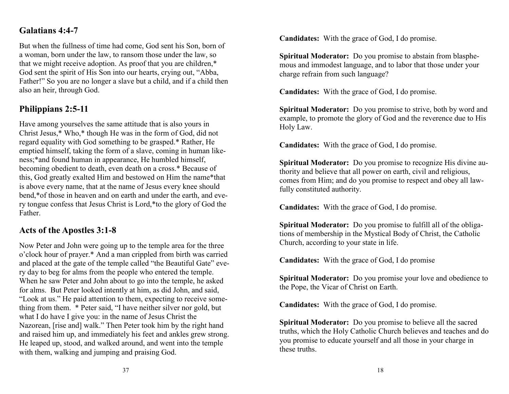### **Galatians 4:4-7**

But when the fullness of time had come, God sent his Son, born of a woman, born under the law, to ransom those under the law, so that we might receive adoption. As proof that you are children,\* God sent the spirit of His Son into our hearts, crying out, "Abba, Father!" So you are no longer a slave but a child, and if a child then also an heir, through God.

# **Philippians 2:5-11**

Have among yourselves the same attitude that is also yours in Christ Jesus,\* Who,\* though He was in the form of God, did not regard equality with God something to be grasped.\* Rather, He emptied himself, taking the form of a slave, coming in human likeness;\*and found human in appearance, He humbled himself, becoming obedient to death, even death on a cross.\* Because of this, God greatly exalted Him and bestowed on Him the name\*that is above every name, that at the name of Jesus every knee should bend,\*of those in heaven and on earth and under the earth, and every tongue confess that Jesus Christ is Lord,\*to the glory of God the Father.

### **Acts of the Apostles 3:1-8**

Now Peter and John were going up to the temple area for the three o'clock hour of prayer.\* And a man crippled from birth was carried and placed at the gate of the temple called "the Beautiful Gate" every day to beg for alms from the people who entered the temple. When he saw Peter and John about to go into the temple, he asked for alms. But Peter looked intently at him, as did John, and said, "Look at us." He paid attention to them, expecting to receive something from them. \* Peter said, "I have neither silver nor gold, but what I do have I give you: in the name of Jesus Christ the Nazorean, [rise and] walk." Then Peter took him by the right hand and raised him up, and immediately his feet and ankles grew strong. He leaped up, stood, and walked around, and went into the temple with them, walking and jumping and praising God.

**Candidates:** With the grace of God, I do promise.

**Spiritual Moderator:** Do you promise to abstain from blasphemous and immodest language, and to labor that those under your charge refrain from such language?

**Candidates:** With the grace of God, I do promise.

**Spiritual Moderator:** Do you promise to strive, both by word and example, to promote the glory of God and the reverence due to His Holy Law.

**Candidates:** With the grace of God, I do promise.

**Spiritual Moderator:** Do you promise to recognize His divine authority and believe that all power on earth, civil and religious, comes from Him; and do you promise to respect and obey all lawfully constituted authority.

**Candidates:** With the grace of God, I do promise.

**Spiritual Moderator:** Do you promise to fulfill all of the obligations of membership in the Mystical Body of Christ, the Catholic Church, according to your state in life.

**Candidates:** With the grace of God, I do promise

**Spiritual Moderator:** Do you promise your love and obedience to the Pope, the Vicar of Christ on Earth.

**Candidates:** With the grace of God, I do promise.

**Spiritual Moderator:** Do you promise to believe all the sacred truths, which the Holy Catholic Church believes and teaches and do you promise to educate yourself and all those in your charge in these truths.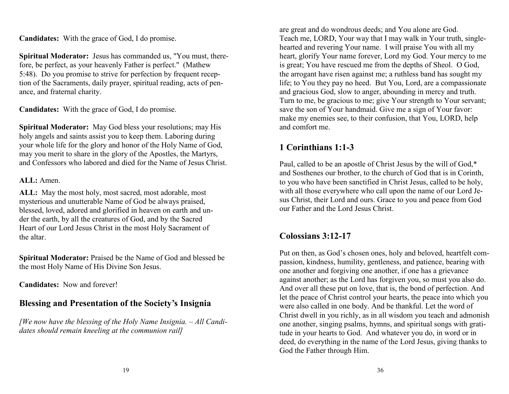**Candidates:** With the grace of God, I do promise.

**Spiritual Moderator:** Jesus has commanded us, "You must, therefore, be perfect, as your heavenly Father is perfect." (Mathew 5:48). Do you promise to strive for perfection by frequent reception of the Sacraments, daily prayer, spiritual reading, acts of penance, and fraternal charity.

**Candidates:** With the grace of God, I do promise.

**Spiritual Moderator:** May God bless your resolutions; may His holy angels and saints assist you to keep them. Laboring during your whole life for the glory and honor of the Holy Name of God, may you merit to share in the glory of the Apostles, the Martyrs, and Confessors who labored and died for the Name of Jesus Christ.

#### **ALL:** Amen.

**ALL:** May the most holy, most sacred, most adorable, most mysterious and unutterable Name of God be always praised, blessed, loved, adored and glorified in heaven on earth and under the earth, by all the creatures of God, and by the Sacred Heart of our Lord Jesus Christ in the most Holy Sacrament of the altar.

**Spiritual Moderator:** Praised be the Name of God and blessed be the most Holy Name of His Divine Son Jesus.

**Candidates:** Now and forever!

### **Blessing and Presentation of the Society's Insignia**

*[We now have the blessing of the Holy Name Insignia. – All Candidates should remain kneeling at the communion rail]*

are great and do wondrous deeds; and You alone are God. Teach me, LORD, Your way that I may walk in Your truth, singlehearted and revering Your name. I will praise You with all my heart, glorify Your name forever, Lord my God. Your mercy to me is great; You have rescued me from the depths of Sheol. O God, the arrogant have risen against me; a ruthless band has sought my life; to You they pay no heed. But You, Lord, are a compassionate and gracious God, slow to anger, abounding in mercy and truth. Turn to me, be gracious to me; give Your strength to Your servant; save the son of Your handmaid. Give me a sign of Your favor: make my enemies see, to their confusion, that You, LORD, help and comfort me.

# **1 Corinthians 1:1-3**

Paul, called to be an apostle of Christ Jesus by the will of God,\* and Sosthenes our brother, to the church of God that is in Corinth, to you who have been sanctified in Christ Jesus, called to be holy, with all those everywhere who call upon the name of our Lord Jesus Christ, their Lord and ours. Grace to you and peace from God our Father and the Lord Jesus Christ.

#### **Colossians 3:12-17**

Put on then, as God's chosen ones, holy and beloved, heartfelt compassion, kindness, humility, gentleness, and patience, bearing with one another and forgiving one another, if one has a grievance against another; as the Lord has forgiven you, so must you also do. And over all these put on love, that is, the bond of perfection. And let the peace of Christ control your hearts, the peace into which you were also called in one body. And be thankful. Let the word of Christ dwell in you richly, as in all wisdom you teach and admonish one another, singing psalms, hymns, and spiritual songs with gratitude in your hearts to God. And whatever you do, in word or in deed, do everything in the name of the Lord Jesus, giving thanks to God the Father through Him.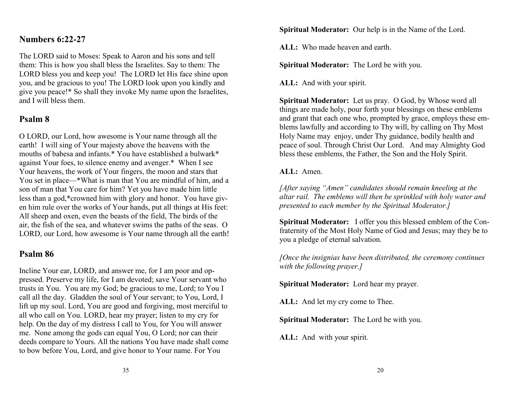#### **Numbers 6:22-27**

The LORD said to Moses: Speak to Aaron and his sons and tell them: This is how you shall bless the Israelites. Say to them: The LORD bless you and keep you! The LORD let His face shine upon you, and be gracious to you! The LORD look upon you kindly and give you peace!\* So shall they invoke My name upon the Israelites, and I will bless them.

#### **Psalm 8**

O LORD, our Lord, how awesome is Your name through all the earth! I will sing of Your majesty above the heavens with the mouths of babesa and infants.\* You have established a bulwark\* against Your foes, to silence enemy and avenger.\* When I see Your heavens, the work of Your fingers, the moon and stars that You set in place—\*What is man that You are mindful of him, and a son of man that You care for him? Yet you have made him little less than a god,\*crowned him with glory and honor. You have given him rule over the works of Your hands, put all things at His feet: All sheep and oxen, even the beasts of the field, The birds of the air, the fish of the sea, and whatever swims the paths of the seas. O LORD, our Lord, how awesome is Your name through all the earth!

#### **Psalm 86**

Incline Your ear, LORD, and answer me, for I am poor and oppressed. Preserve my life, for I am devoted; save Your servant who trusts in You. You are my God; be gracious to me, Lord; to You I call all the day. Gladden the soul of Your servant; to You, Lord, I lift up my soul. Lord, You are good and forgiving, most merciful to all who call on You. LORD, hear my prayer; listen to my cry for help. On the day of my distress I call to You, for You will answer me. None among the gods can equal You, O Lord; nor can their deeds compare to Yours. All the nations You have made shall come to bow before You, Lord, and give honor to Your name. For You

**Spiritual Moderator:** Our help is in the Name of the Lord.

**ALL:** Who made heaven and earth.

**Spiritual Moderator:** The Lord be with you.

**ALL:** And with your spirit.

**Spiritual Moderator:** Let us pray. O God, by Whose word all things are made holy, pour forth your blessings on these emblems and grant that each one who, prompted by grace, employs these emblems lawfully and according to Thy will, by calling on Thy Most Holy Name may enjoy, under Thy guidance, bodily health and peace of soul. Through Christ Our Lord. And may Almighty God bless these emblems, the Father, the Son and the Holy Spirit.

#### **ALL:** Amen.

*[After saying "Amen" candidates should remain kneeling at the altar rail. The emblems will then be sprinkled with holy water and presented to each member by the Spiritual Moderator.]*

**Spiritual Moderator:** I offer you this blessed emblem of the Confraternity of the Most Holy Name of God and Jesus; may they be to you a pledge of eternal salvation.

*[Once the insignias have been distributed, the ceremony continues with the following prayer.]* 

**Spiritual Moderator:** Lord hear my prayer.

**ALL:** And let my cry come to Thee.

**Spiritual Moderator:** The Lord be with you.

**ALL:** And with your spirit.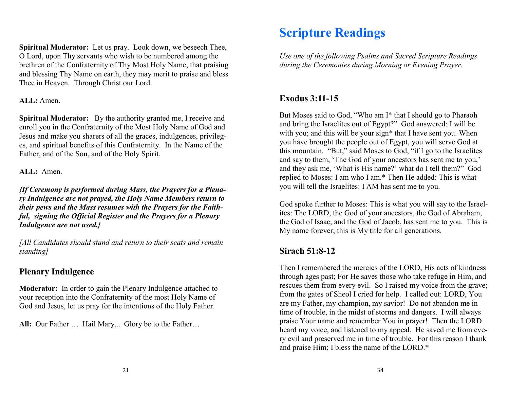**Spiritual Moderator:** Let us pray. Look down, we beseech Thee, O Lord, upon Thy servants who wish to be numbered among the brethren of the Confraternity of Thy Most Holy Name, that praising and blessing Thy Name on earth, they may merit to praise and bless Thee in Heaven. Through Christ our Lord.

**ALL:** Amen.

**Spiritual Moderator:** By the authority granted me, I receive and enroll you in the Confraternity of the Most Holy Name of God and Jesus and make you sharers of all the graces, indulgences, privileges, and spiritual benefits of this Confraternity. In the Name of the Father, and of the Son, and of the Holy Spirit.

**ALL:** Amen.

*{If Ceremony is performed during Mass, the Prayers for a Plenary Indulgence are not prayed, the Holy Name Members return to their pews and the Mass resumes with the Prayers for the Faithful, signing the Official Register and the Prayers for a Plenary Indulgence are not used.}*

*[All Candidates should stand and return to their seats and remain standing]*

# **Plenary Indulgence**

**Moderator:** In order to gain the Plenary Indulgence attached to your reception into the Confraternity of the most Holy Name of God and Jesus, let us pray for the intentions of the Holy Father.

All: Our Father ... Hail Mary... Glory be to the Father...

# **Scripture Readings**

*Use one of the following Psalms and Sacred Scripture Readings during the Ceremonies during Morning or Evening Prayer.*

# **Exodus 3:11-15**

But Moses said to God, "Who am I\* that I should go to Pharaoh and bring the Israelites out of Egypt?" God answered: I will be with you; and this will be your sign\* that I have sent you. When you have brought the people out of Egypt, you will serve God at this mountain. "But," said Moses to God, "if I go to the Israelites and say to them, 'The God of your ancestors has sent me to you,' and they ask me, 'What is His name?' what do I tell them?" God replied to Moses: I am who I am.\* Then He added: This is what you will tell the Israelites: I AM has sent me to you.

God spoke further to Moses: This is what you will say to the Israelites: The LORD, the God of your ancestors, the God of Abraham, the God of Isaac, and the God of Jacob, has sent me to you. This is My name forever; this is My title for all generations.

# **Sirach 51:8-12**

Then I remembered the mercies of the LORD, His acts of kindness through ages past; For He saves those who take refuge in Him, and rescues them from every evil. So I raised my voice from the grave; from the gates of Sheol I cried for help. I called out: LORD, You are my Father, my champion, my savior! Do not abandon me in time of trouble, in the midst of storms and dangers. I will always praise Your name and remember You in prayer! Then the LORD heard my voice, and listened to my appeal. He saved me from every evil and preserved me in time of trouble. For this reason I thank and praise Him; I bless the name of the LORD.\*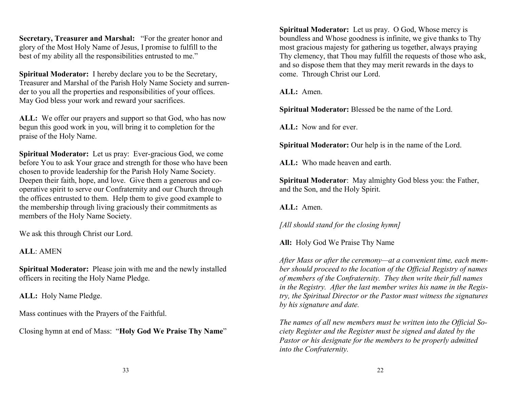**Secretary, Treasurer and Marshal:** "For the greater honor and glory of the Most Holy Name of Jesus, I promise to fulfill to the best of my ability all the responsibilities entrusted to me."

**Spiritual Moderator:** I hereby declare you to be the Secretary, Treasurer and Marshal of the Parish Holy Name Society and surrender to you all the properties and responsibilities of your offices. May God bless your work and reward your sacrifices.

**ALL:** We offer our prayers and support so that God, who has now begun this good work in you, will bring it to completion for the praise of the Holy Name.

**Spiritual Moderator:** Let us pray: Ever-gracious God, we come before You to ask Your grace and strength for those who have been chosen to provide leadership for the Parish Holy Name Society. Deepen their faith, hope, and love. Give them a generous and cooperative spirit to serve our Confraternity and our Church through the offices entrusted to them. Help them to give good example to the membership through living graciously their commitments as members of the Holy Name Society.

We ask this through Christ our Lord.

**ALL**: AMEN

**Spiritual Moderator:** Please join with me and the newly installed officers in reciting the Holy Name Pledge.

**ALL:** Holy Name Pledge.

Mass continues with the Prayers of the Faithful.

Closing hymn at end of Mass: "**Holy God We Praise Thy Name**"

**Spiritual Moderator:** Let us pray. O God, Whose mercy is boundless and Whose goodness is infinite, we give thanks to Thy most gracious majesty for gathering us together, always praying Thy clemency, that Thou may fulfill the requests of those who ask, and so dispose them that they may merit rewards in the days to come. Through Christ our Lord.

**ALL:** Amen.

**Spiritual Moderator:** Blessed be the name of the Lord.

ALL: Now and for ever.

**Spiritual Moderator:** Our help is in the name of the Lord.

**ALL:** Who made heaven and earth.

**Spiritual Moderator**: May almighty God bless you: the Father, and the Son, and the Holy Spirit.

**ALL:** Amen.

*[All should stand for the closing hymn]*

**All:** Holy God We Praise Thy Name

*After Mass or after the ceremony—at a convenient time, each member should proceed to the location of the Official Registry of names of members of the Confraternity. They then write their full names in the Registry. After the last member writes his name in the Registry, the Spiritual Director or the Pastor must witness the signatures by his signature and date.*

*The names of all new members must be written into the Official Society Register and the Register must be signed and dated by the Pastor or his designate for the members to be properly admitted into the Confraternity.*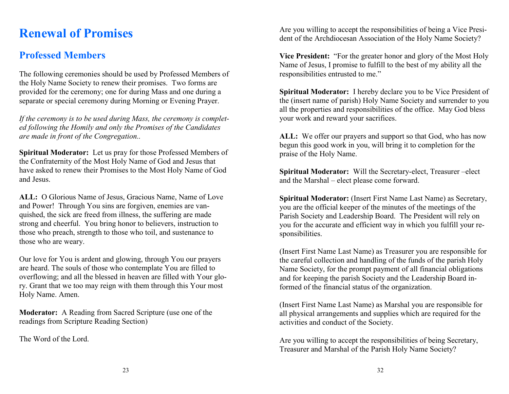# **Renewal of Promises**

# **Professed Members**

The following ceremonies should be used by Professed Members of the Holy Name Society to renew their promises. Two forms are provided for the ceremony; one for during Mass and one during a separate or special ceremony during Morning or Evening Prayer.

*If the ceremony is to be used during Mass, the ceremony is completed following the Homily and only the Promises of the Candidates are made in front of the Congregation..*

**Spiritual Moderator:** Let us pray for those Professed Members of the Confraternity of the Most Holy Name of God and Jesus that have asked to renew their Promises to the Most Holy Name of God and Jesus.

**ALL:** O Glorious Name of Jesus, Gracious Name, Name of Love and Power! Through You sins are forgiven, enemies are vanquished, the sick are freed from illness, the suffering are made strong and cheerful. You bring honor to believers, instruction to those who preach, strength to those who toil, and sustenance to those who are weary.

Our love for You is ardent and glowing, through You our prayers are heard. The souls of those who contemplate You are filled to overflowing; and all the blessed in heaven are filled with Your glory. Grant that we too may reign with them through this Your most Holy Name. Amen.

**Moderator:** A Reading from Sacred Scripture (use one of the readings from Scripture Reading Section)

The Word of the Lord.

Are you willing to accept the responsibilities of being a Vice President of the Archdiocesan Association of the Holy Name Society?

**Vice President:** "For the greater honor and glory of the Most Holy Name of Jesus, I promise to fulfill to the best of my ability all the responsibilities entrusted to me."

**Spiritual Moderator:** I hereby declare you to be Vice President of the (insert name of parish) Holy Name Society and surrender to you all the properties and responsibilities of the office. May God bless your work and reward your sacrifices.

**ALL:** We offer our prayers and support so that God, who has now begun this good work in you, will bring it to completion for the praise of the Holy Name.

**Spiritual Moderator:** Will the Secretary-elect, Treasurer –elect and the Marshal – elect please come forward.

**Spiritual Moderator:** (Insert First Name Last Name) as Secretary, you are the official keeper of the minutes of the meetings of the Parish Society and Leadership Board. The President will rely on you for the accurate and efficient way in which you fulfill your responsibilities.

(Insert First Name Last Name) as Treasurer you are responsible for the careful collection and handling of the funds of the parish Holy Name Society, for the prompt payment of all financial obligations and for keeping the parish Society and the Leadership Board informed of the financial status of the organization.

(Insert First Name Last Name) as Marshal you are responsible for all physical arrangements and supplies which are required for the activities and conduct of the Society.

Are you willing to accept the responsibilities of being Secretary, Treasurer and Marshal of the Parish Holy Name Society?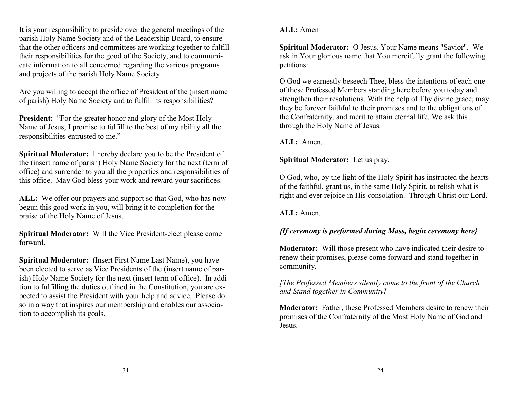It is your responsibility to preside over the general meetings of the parish Holy Name Society and of the Leadership Board, to ensure that the other officers and committees are working together to fulfill their responsibilities for the good of the Society, and to communicate information to all concerned regarding the various programs and projects of the parish Holy Name Society.

Are you willing to accept the office of President of the (insert name of parish) Holy Name Society and to fulfill its responsibilities?

**President:** "For the greater honor and glory of the Most Holy Name of Jesus, I promise to fulfill to the best of my ability all the responsibilities entrusted to me."

**Spiritual Moderator:** I hereby declare you to be the President of the (insert name of parish) Holy Name Society for the next (term of office) and surrender to you all the properties and responsibilities of this office. May God bless your work and reward your sacrifices.

**ALL:** We offer our prayers and support so that God, who has now begun this good work in you, will bring it to completion for the praise of the Holy Name of Jesus.

**Spiritual Moderator:** Will the Vice President-elect please come forward.

**Spiritual Moderator:** (Insert First Name Last Name), you have been elected to serve as Vice Presidents of the (insert name of parish) Holy Name Society for the next (insert term of office). In addition to fulfilling the duties outlined in the Constitution, you are expected to assist the President with your help and advice. Please do so in a way that inspires our membership and enables our association to accomplish its goals.

#### **ALL:** Amen

**Spiritual Moderator:** O Jesus. Your Name means "Savior". We ask in Your glorious name that You mercifully grant the following petitions:

O God we earnestly beseech Thee, bless the intentions of each one of these Professed Members standing here before you today and strengthen their resolutions. With the help of Thy divine grace, may they be forever faithful to their promises and to the obligations of the Confraternity, and merit to attain eternal life. We ask this through the Holy Name of Jesus.

**ALL:** Amen.

#### **Spiritual Moderator:** Let us pray.

O God, who, by the light of the Holy Spirit has instructed the hearts of the faithful, grant us, in the same Holy Spirit, to relish what is right and ever rejoice in His consolation. Through Christ our Lord.

**ALL:** Amen.

#### *{If ceremony is performed during Mass, begin ceremony here}*

**Moderator:** Will those present who have indicated their desire to renew their promises, please come forward and stand together in community.

*[The Professed Members silently come to the front of the Church and Stand together in Community]*

**Moderator:** Father, these Professed Members desire to renew their promises of the Confraternity of the Most Holy Name of God and Jesus.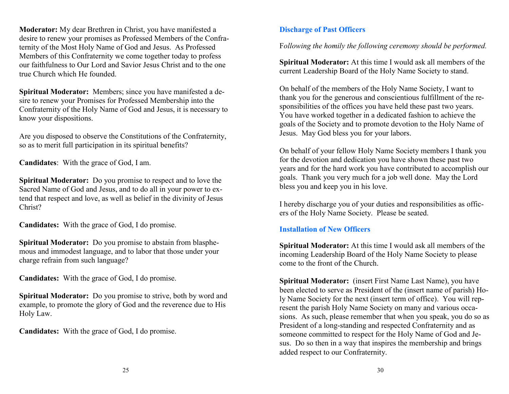**Moderator:** My dear Brethren in Christ, you have manifested a desire to renew your promises as Professed Members of the Confraternity of the Most Holy Name of God and Jesus. As Professed Members of this Confraternity we come together today to profess our faithfulness to Our Lord and Savior Jesus Christ and to the one true Church which He founded.

**Spiritual Moderator:** Members; since you have manifested a desire to renew your Promises for Professed Membership into the Confraternity of the Holy Name of God and Jesus, it is necessary to know your dispositions.

Are you disposed to observe the Constitutions of the Confraternity, so as to merit full participation in its spiritual benefits?

**Candidates**: With the grace of God, I am.

**Spiritual Moderator:** Do you promise to respect and to love the Sacred Name of God and Jesus, and to do all in your power to extend that respect and love, as well as belief in the divinity of Jesus Christ?

**Candidates:** With the grace of God, I do promise.

**Spiritual Moderator:** Do you promise to abstain from blasphemous and immodest language, and to labor that those under your charge refrain from such language?

**Candidates:** With the grace of God, I do promise.

**Spiritual Moderator:** Do you promise to strive, both by word and example, to promote the glory of God and the reverence due to His Holy Law.

**Candidates:** With the grace of God, I do promise.

#### **Discharge of Past Officers**

F*ollowing the homily the following ceremony should be performed.*

**Spiritual Moderator:** At this time I would ask all members of the current Leadership Board of the Holy Name Society to stand.

On behalf of the members of the Holy Name Society, I want to thank you for the generous and conscientious fulfillment of the responsibilities of the offices you have held these past two years. You have worked together in a dedicated fashion to achieve the goals of the Society and to promote devotion to the Holy Name of Jesus. May God bless you for your labors.

On behalf of your fellow Holy Name Society members I thank you for the devotion and dedication you have shown these past two years and for the hard work you have contributed to accomplish our goals. Thank you very much for a job well done. May the Lord bless you and keep you in his love.

I hereby discharge you of your duties and responsibilities as officers of the Holy Name Society. Please be seated.

#### **Installation of New Officers**

**Spiritual Moderator:** At this time I would ask all members of the incoming Leadership Board of the Holy Name Society to please come to the front of the Church.

**Spiritual Moderator:** (insert First Name Last Name), you have been elected to serve as President of the (insert name of parish) Holy Name Society for the next (insert term of office). You will represent the parish Holy Name Society on many and various occasions. As such, please remember that when you speak, you do so as President of a long-standing and respected Confraternity and as someone committed to respect for the Holy Name of God and Jesus. Do so then in a way that inspires the membership and brings added respect to our Confraternity.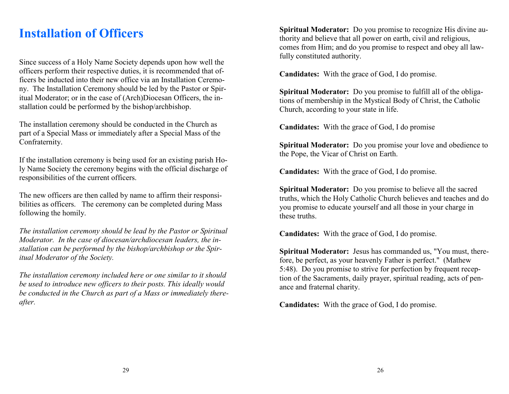# **Installation of Officers**

Since success of a Holy Name Society depends upon how well the officers perform their respective duties, it is recommended that officers be inducted into their new office via an Installation Ceremony. The Installation Ceremony should be led by the Pastor or Spiritual Moderator; or in the case of (Arch)Diocesan Officers, the installation could be performed by the bishop/archbishop.

The installation ceremony should be conducted in the Church as part of a Special Mass or immediately after a Special Mass of the Confraternity.

If the installation ceremony is being used for an existing parish Holy Name Society the ceremony begins with the official discharge of responsibilities of the current officers.

The new officers are then called by name to affirm their responsibilities as officers. The ceremony can be completed during Mass following the homily.

*The installation ceremony should be lead by the Pastor or Spiritual Moderator. In the case of diocesan/archdiocesan leaders, the installation can be performed by the bishop/archbishop or the Spiritual Moderator of the Society.*

*The installation ceremony included here or one similar to it should be used to introduce new officers to their posts. This ideally would be conducted in the Church as part of a Mass or immediately thereafter.*

**Spiritual Moderator:** Do you promise to recognize His divine authority and believe that all power on earth, civil and religious, comes from Him; and do you promise to respect and obey all lawfully constituted authority.

**Candidates:** With the grace of God, I do promise.

**Spiritual Moderator:** Do you promise to fulfill all of the obligations of membership in the Mystical Body of Christ, the Catholic Church, according to your state in life.

**Candidates:** With the grace of God, I do promise

**Spiritual Moderator:** Do you promise your love and obedience to the Pope, the Vicar of Christ on Earth.

**Candidates:** With the grace of God, I do promise.

**Spiritual Moderator:** Do you promise to believe all the sacred truths, which the Holy Catholic Church believes and teaches and do you promise to educate yourself and all those in your charge in these truths.

**Candidates:** With the grace of God, I do promise.

**Spiritual Moderator:** Jesus has commanded us, "You must, therefore, be perfect, as your heavenly Father is perfect." (Mathew 5:48). Do you promise to strive for perfection by frequent reception of the Sacraments, daily prayer, spiritual reading, acts of penance and fraternal charity.

**Candidates:** With the grace of God, I do promise.